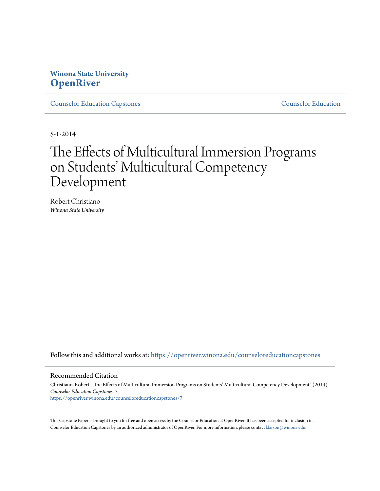# **Winona State University [OpenRiver](https://openriver.winona.edu?utm_source=openriver.winona.edu%2Fcounseloreducationcapstones%2F7&utm_medium=PDF&utm_campaign=PDFCoverPages)**

[Counselor Education Capstones](https://openriver.winona.edu/counseloreducationcapstones?utm_source=openriver.winona.edu%2Fcounseloreducationcapstones%2F7&utm_medium=PDF&utm_campaign=PDFCoverPages) [Counselor Education](https://openriver.winona.edu/counseloreducation?utm_source=openriver.winona.edu%2Fcounseloreducationcapstones%2F7&utm_medium=PDF&utm_campaign=PDFCoverPages)

5-1-2014

# The Effects of Multicultural Immersion Programs on Students' Multicultural Competency Development

Robert Christiano *Winona State University*

Follow this and additional works at: [https://openriver.winona.edu/counseloreducationcapstones](https://openriver.winona.edu/counseloreducationcapstones?utm_source=openriver.winona.edu%2Fcounseloreducationcapstones%2F7&utm_medium=PDF&utm_campaign=PDFCoverPages)

#### Recommended Citation

Christiano, Robert, "The Effects of Multicultural Immersion Programs on Students' Multicultural Competency Development" (2014). *Counselor Education Capstones*. 7. [https://openriver.winona.edu/counseloreducationcapstones/7](https://openriver.winona.edu/counseloreducationcapstones/7?utm_source=openriver.winona.edu%2Fcounseloreducationcapstones%2F7&utm_medium=PDF&utm_campaign=PDFCoverPages)

This Capstone Paper is brought to you for free and open access by the Counselor Education at OpenRiver. It has been accepted for inclusion in Counselor Education Capstones by an authorized administrator of OpenRiver. For more information, please contact [klarson@winona.edu](mailto:klarson@winona.edu).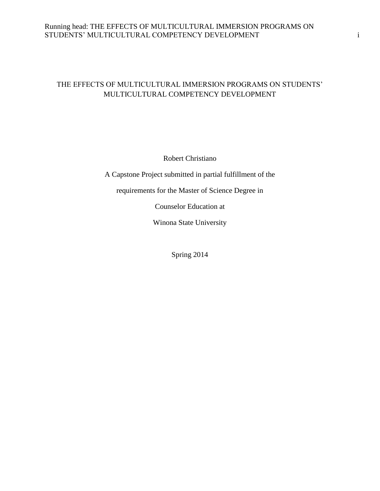# Running head: THE EFFECTS OF MULTICULTURAL IMMERSION PROGRAMS ON STUDENTS' MULTICULTURAL COMPETENCY DEVELOPMENT i

# THE EFFECTS OF MULTICULTURAL IMMERSION PROGRAMS ON STUDENTS' MULTICULTURAL COMPETENCY DEVELOPMENT

Robert Christiano

A Capstone Project submitted in partial fulfillment of the

requirements for the Master of Science Degree in

Counselor Education at

Winona State University

Spring 2014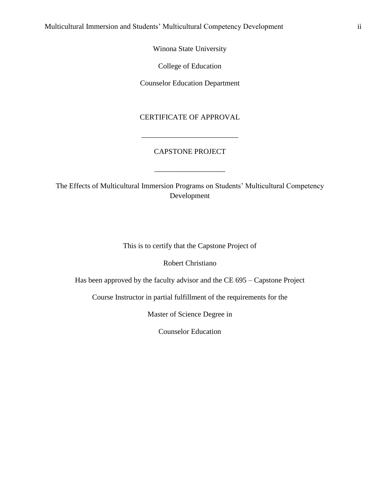Winona State University

College of Education

Counselor Education Department

CERTIFICATE OF APPROVAL

## CAPSTONE PROJECT

\_\_\_\_\_\_\_\_\_\_\_\_\_\_\_\_\_\_\_

\_\_\_\_\_\_\_\_\_\_\_\_\_\_\_\_\_\_\_\_\_\_\_\_\_\_

The Effects of Multicultural Immersion Programs on Students' Multicultural Competency Development

This is to certify that the Capstone Project of

Robert Christiano

Has been approved by the faculty advisor and the CE 695 – Capstone Project

Course Instructor in partial fulfillment of the requirements for the

Master of Science Degree in

Counselor Education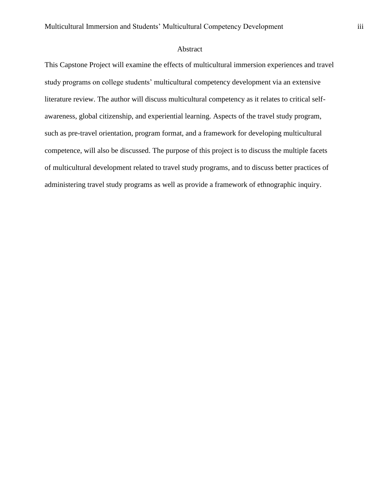#### Abstract

This Capstone Project will examine the effects of multicultural immersion experiences and travel study programs on college students' multicultural competency development via an extensive literature review. The author will discuss multicultural competency as it relates to critical selfawareness, global citizenship, and experiential learning. Aspects of the travel study program, such as pre-travel orientation, program format, and a framework for developing multicultural competence, will also be discussed. The purpose of this project is to discuss the multiple facets of multicultural development related to travel study programs, and to discuss better practices of administering travel study programs as well as provide a framework of ethnographic inquiry.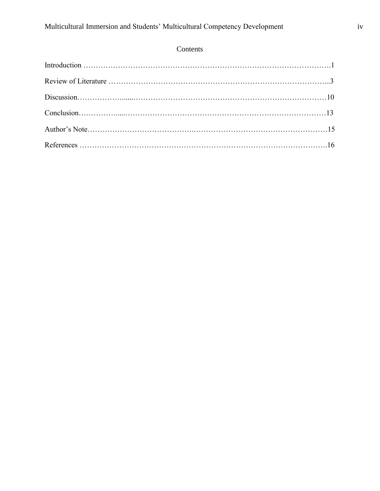# Contents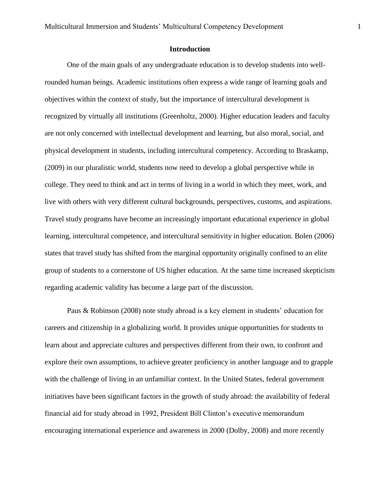#### **Introduction**

One of the main goals of any undergraduate education is to develop students into wellrounded human beings. Academic institutions often express a wide range of learning goals and objectives within the context of study, but the importance of intercultural development is recognized by virtually all institutions (Greenholtz, 2000). Higher education leaders and faculty are not only concerned with intellectual development and learning, but also moral, social, and physical development in students, including intercultural competency. According to Braskamp, (2009) in our pluralistic world, students now need to develop a global perspective while in college. They need to think and act in terms of living in a world in which they meet, work, and live with others with very different cultural backgrounds, perspectives, customs, and aspirations. Travel study programs have become an increasingly important educational experience in global learning, intercultural competence, and intercultural sensitivity in higher education. Bolen (2006) states that travel study has shifted from the marginal opportunity originally confined to an elite group of students to a cornerstone of US higher education. At the same time increased skepticism regarding academic validity has become a large part of the discussion.

Paus & Robinson (2008) note study abroad is a key element in students' education for careers and citizenship in a globalizing world. It provides unique opportunities for students to learn about and appreciate cultures and perspectives different from their own, to confront and explore their own assumptions, to achieve greater proficiency in another language and to grapple with the challenge of living in an unfamiliar context. In the United States, federal government initiatives have been significant factors in the growth of study abroad: the availability of federal financial aid for study abroad in 1992, President Bill Clinton's executive memorandum encouraging international experience and awareness in 2000 (Dolby, 2008) and more recently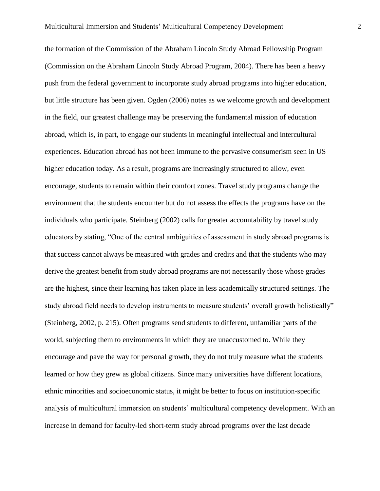the formation of the Commission of the Abraham Lincoln Study Abroad Fellowship Program (Commission on the Abraham Lincoln Study Abroad Program, 2004). There has been a heavy push from the federal government to incorporate study abroad programs into higher education, but little structure has been given. Ogden (2006) notes as we welcome growth and development in the field, our greatest challenge may be preserving the fundamental mission of education abroad, which is, in part, to engage our students in meaningful intellectual and intercultural experiences. Education abroad has not been immune to the pervasive consumerism seen in US higher education today. As a result, programs are increasingly structured to allow, even encourage, students to remain within their comfort zones. Travel study programs change the environment that the students encounter but do not assess the effects the programs have on the individuals who participate. Steinberg (2002) calls for greater accountability by travel study educators by stating, "One of the central ambiguities of assessment in study abroad programs is that success cannot always be measured with grades and credits and that the students who may derive the greatest benefit from study abroad programs are not necessarily those whose grades are the highest, since their learning has taken place in less academically structured settings. The study abroad field needs to develop instruments to measure students' overall growth holistically" (Steinberg, 2002, p. 215). Often programs send students to different, unfamiliar parts of the world, subjecting them to environments in which they are unaccustomed to. While they encourage and pave the way for personal growth, they do not truly measure what the students learned or how they grew as global citizens. Since many universities have different locations, ethnic minorities and socioeconomic status, it might be better to focus on institution-specific analysis of multicultural immersion on students' multicultural competency development. With an increase in demand for faculty-led short-term study abroad programs over the last decade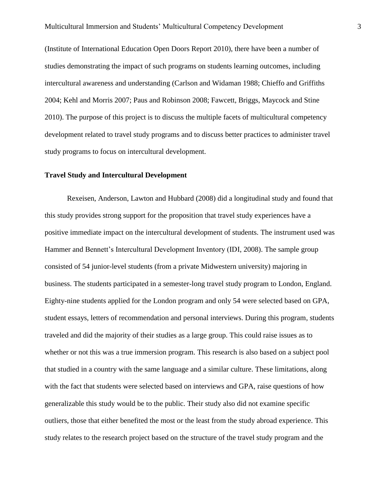(Institute of International Education Open Doors Report 2010), there have been a number of studies demonstrating the impact of such programs on students learning outcomes, including intercultural awareness and understanding (Carlson and Widaman 1988; Chieffo and Griffiths 2004; Kehl and Morris 2007; Paus and Robinson 2008; Fawcett, Briggs, Maycock and Stine 2010). The purpose of this project is to discuss the multiple facets of multicultural competency development related to travel study programs and to discuss better practices to administer travel study programs to focus on intercultural development.

#### **Travel Study and Intercultural Development**

Rexeisen, Anderson, Lawton and Hubbard (2008) did a longitudinal study and found that this study provides strong support for the proposition that travel study experiences have a positive immediate impact on the intercultural development of students. The instrument used was Hammer and Bennett's Intercultural Development Inventory (IDI, 2008). The sample group consisted of 54 junior-level students (from a private Midwestern university) majoring in business. The students participated in a semester-long travel study program to London, England. Eighty-nine students applied for the London program and only 54 were selected based on GPA, student essays, letters of recommendation and personal interviews. During this program, students traveled and did the majority of their studies as a large group. This could raise issues as to whether or not this was a true immersion program. This research is also based on a subject pool that studied in a country with the same language and a similar culture. These limitations, along with the fact that students were selected based on interviews and GPA, raise questions of how generalizable this study would be to the public. Their study also did not examine specific outliers, those that either benefited the most or the least from the study abroad experience. This study relates to the research project based on the structure of the travel study program and the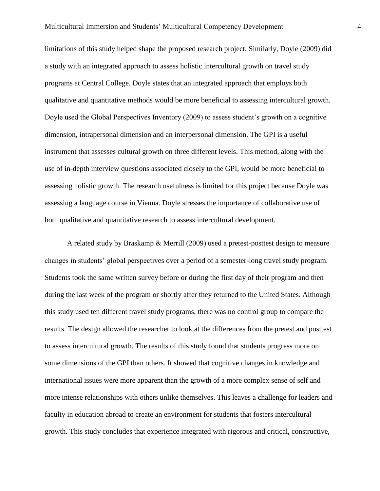limitations of this study helped shape the proposed research project. Similarly, Doyle (2009) did a study with an integrated approach to assess holistic intercultural growth on travel study programs at Central College. Doyle states that an integrated approach that employs both qualitative and quantitative methods would be more beneficial to assessing intercultural growth. Doyle used the Global Perspectives Inventory (2009) to assess student's growth on a cognitive dimension, intrapersonal dimension and an interpersonal dimension. The GPI is a useful instrument that assesses cultural growth on three different levels. This method, along with the use of in-depth interview questions associated closely to the GPI, would be more beneficial to assessing holistic growth. The research usefulness is limited for this project because Doyle was assessing a language course in Vienna. Doyle stresses the importance of collaborative use of both qualitative and quantitative research to assess intercultural development.

A related study by Braskamp & Merrill (2009) used a pretest-posttest design to measure changes in students' global perspectives over a period of a semester-long travel study program. Students took the same written survey before or during the first day of their program and then during the last week of the program or shortly after they returned to the United States. Although this study used ten different travel study programs, there was no control group to compare the results. The design allowed the researcher to look at the differences from the pretest and posttest to assess intercultural growth. The results of this study found that students progress more on some dimensions of the GPI than others. It showed that cognitive changes in knowledge and international issues were more apparent than the growth of a more complex sense of self and more intense relationships with others unlike themselves. This leaves a challenge for leaders and faculty in education abroad to create an environment for students that fosters intercultural growth. This study concludes that experience integrated with rigorous and critical, constructive,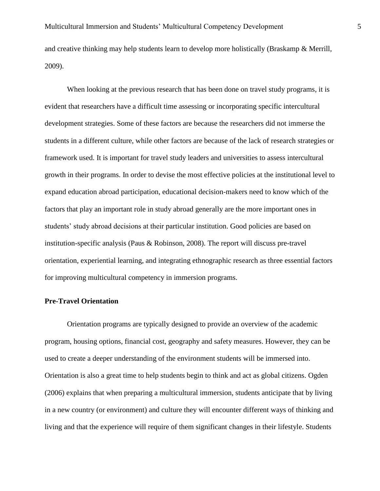and creative thinking may help students learn to develop more holistically (Braskamp & Merrill, 2009).

When looking at the previous research that has been done on travel study programs, it is evident that researchers have a difficult time assessing or incorporating specific intercultural development strategies. Some of these factors are because the researchers did not immerse the students in a different culture, while other factors are because of the lack of research strategies or framework used. It is important for travel study leaders and universities to assess intercultural growth in their programs. In order to devise the most effective policies at the institutional level to expand education abroad participation, educational decision-makers need to know which of the factors that play an important role in study abroad generally are the more important ones in students' study abroad decisions at their particular institution. Good policies are based on institution-specific analysis (Paus & Robinson, 2008). The report will discuss pre-travel orientation, experiential learning, and integrating ethnographic research as three essential factors for improving multicultural competency in immersion programs.

#### **Pre-Travel Orientation**

Orientation programs are typically designed to provide an overview of the academic program, housing options, financial cost, geography and safety measures. However, they can be used to create a deeper understanding of the environment students will be immersed into. Orientation is also a great time to help students begin to think and act as global citizens. Ogden (2006) explains that when preparing a multicultural immersion, students anticipate that by living in a new country (or environment) and culture they will encounter different ways of thinking and living and that the experience will require of them significant changes in their lifestyle. Students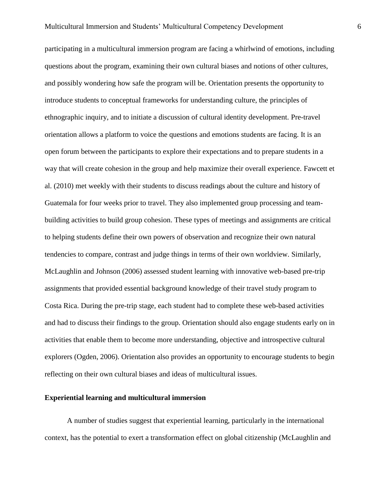participating in a multicultural immersion program are facing a whirlwind of emotions, including questions about the program, examining their own cultural biases and notions of other cultures, and possibly wondering how safe the program will be. Orientation presents the opportunity to introduce students to conceptual frameworks for understanding culture, the principles of ethnographic inquiry, and to initiate a discussion of cultural identity development. Pre-travel orientation allows a platform to voice the questions and emotions students are facing. It is an open forum between the participants to explore their expectations and to prepare students in a way that will create cohesion in the group and help maximize their overall experience. Fawcett et al. (2010) met weekly with their students to discuss readings about the culture and history of Guatemala for four weeks prior to travel. They also implemented group processing and teambuilding activities to build group cohesion. These types of meetings and assignments are critical to helping students define their own powers of observation and recognize their own natural tendencies to compare, contrast and judge things in terms of their own worldview. Similarly, McLaughlin and Johnson (2006) assessed student learning with innovative web-based pre-trip assignments that provided essential background knowledge of their travel study program to Costa Rica. During the pre-trip stage, each student had to complete these web-based activities and had to discuss their findings to the group. Orientation should also engage students early on in activities that enable them to become more understanding, objective and introspective cultural explorers (Ogden, 2006). Orientation also provides an opportunity to encourage students to begin reflecting on their own cultural biases and ideas of multicultural issues.

#### **Experiential learning and multicultural immersion**

A number of studies suggest that experiential learning, particularly in the international context, has the potential to exert a transformation effect on global citizenship (McLaughlin and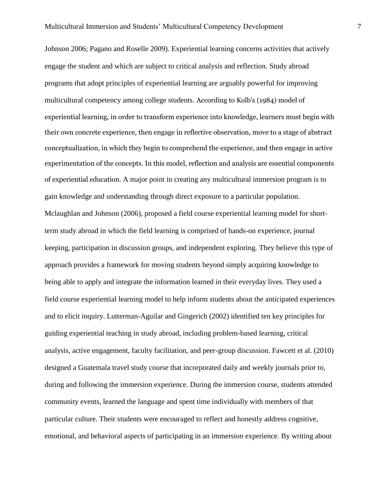Johnson 2006; Pagano and Roselle 2009). Experiential learning concerns activities that actively engage the student and which are subject to critical analysis and reflection. Study abroad programs that adopt principles of experiential learning are arguably powerful for improving multicultural competency among college students. According to Kolb's (1984) model of experiential learning, in order to transform experience into knowledge, learners must begin with their own concrete experience, then engage in reflective observation, move to a stage of abstract conceptualization, in which they begin to comprehend the experience, and then engage in active experimentation of the concepts. In this model, reflection and analysis are essential components of experiential education. A major point in creating any multicultural immersion program is to gain knowledge and understanding through direct exposure to a particular population. Mclaughlan and Johnson (2006), proposed a field course experiential learning model for shortterm study abroad in which the field learning is comprised of hands-on experience, journal keeping, participation in discussion groups, and independent exploring. They believe this type of approach provides a framework for moving students beyond simply acquiring knowledge to being able to apply and integrate the information learned in their everyday lives. They used a field course experiential learning model to help inform students about the anticipated experiences and to elicit inquiry. Lutterman-Aguilar and Gingerich (2002) identified ten key principles for guiding experiential teaching in study abroad, including problem-based learning, critical analysis, active engagement, faculty facilitation, and peer-group discussion. Fawcett et al. (2010) designed a Guatemala travel study course that incorporated daily and weekly journals prior to, during and following the immersion experience. During the immersion course, students attended community events, learned the language and spent time individually with members of that particular culture. Their students were encouraged to reflect and honestly address cognitive, emotional, and behavioral aspects of participating in an immersion experience. By writing about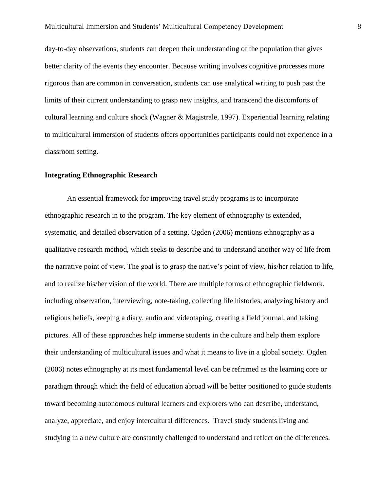day-to-day observations, students can deepen their understanding of the population that gives better clarity of the events they encounter. Because writing involves cognitive processes more rigorous than are common in conversation, students can use analytical writing to push past the limits of their current understanding to grasp new insights, and transcend the discomforts of cultural learning and culture shock (Wagner & Magistrale, 1997). Experiential learning relating to multicultural immersion of students offers opportunities participants could not experience in a classroom setting.

#### **Integrating Ethnographic Research**

An essential framework for improving travel study programs is to incorporate ethnographic research in to the program. The key element of ethnography is extended, systematic, and detailed observation of a setting. Ogden (2006) mentions ethnography as a qualitative research method, which seeks to describe and to understand another way of life from the narrative point of view. The goal is to grasp the native's point of view, his/her relation to life, and to realize his/her vision of the world. There are multiple forms of ethnographic fieldwork, including observation, interviewing, note-taking, collecting life histories, analyzing history and religious beliefs, keeping a diary, audio and videotaping, creating a field journal, and taking pictures. All of these approaches help immerse students in the culture and help them explore their understanding of multicultural issues and what it means to live in a global society. Ogden (2006) notes ethnography at its most fundamental level can be reframed as the learning core or paradigm through which the field of education abroad will be better positioned to guide students toward becoming autonomous cultural learners and explorers who can describe, understand, analyze, appreciate, and enjoy intercultural differences. Travel study students living and studying in a new culture are constantly challenged to understand and reflect on the differences.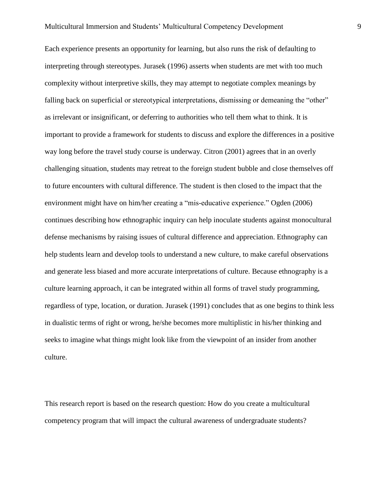Each experience presents an opportunity for learning, but also runs the risk of defaulting to interpreting through stereotypes. Jurasek (1996) asserts when students are met with too much complexity without interpretive skills, they may attempt to negotiate complex meanings by falling back on superficial or stereotypical interpretations, dismissing or demeaning the "other" as irrelevant or insignificant, or deferring to authorities who tell them what to think. It is important to provide a framework for students to discuss and explore the differences in a positive way long before the travel study course is underway. Citron (2001) agrees that in an overly challenging situation, students may retreat to the foreign student bubble and close themselves off to future encounters with cultural difference. The student is then closed to the impact that the environment might have on him/her creating a "mis-educative experience." Ogden (2006) continues describing how ethnographic inquiry can help inoculate students against monocultural defense mechanisms by raising issues of cultural difference and appreciation. Ethnography can help students learn and develop tools to understand a new culture, to make careful observations and generate less biased and more accurate interpretations of culture. Because ethnography is a culture learning approach, it can be integrated within all forms of travel study programming, regardless of type, location, or duration. Jurasek (1991) concludes that as one begins to think less in dualistic terms of right or wrong, he/she becomes more multiplistic in his/her thinking and seeks to imagine what things might look like from the viewpoint of an insider from another culture.

This research report is based on the research question: How do you create a multicultural competency program that will impact the cultural awareness of undergraduate students?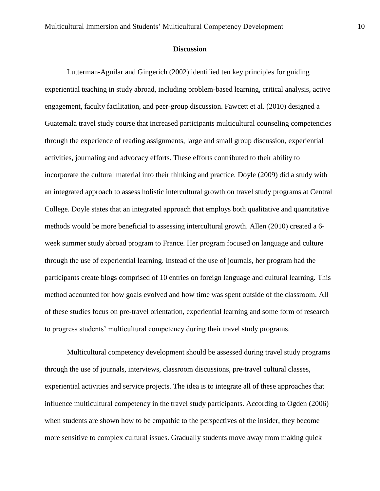#### **Discussion**

Lutterman-Aguilar and Gingerich (2002) identified ten key principles for guiding experiential teaching in study abroad, including problem-based learning, critical analysis, active engagement, faculty facilitation, and peer-group discussion. Fawcett et al. (2010) designed a Guatemala travel study course that increased participants multicultural counseling competencies through the experience of reading assignments, large and small group discussion, experiential activities, journaling and advocacy efforts. These efforts contributed to their ability to incorporate the cultural material into their thinking and practice. Doyle (2009) did a study with an integrated approach to assess holistic intercultural growth on travel study programs at Central College. Doyle states that an integrated approach that employs both qualitative and quantitative methods would be more beneficial to assessing intercultural growth. Allen (2010) created a 6 week summer study abroad program to France. Her program focused on language and culture through the use of experiential learning. Instead of the use of journals, her program had the participants create blogs comprised of 10 entries on foreign language and cultural learning. This method accounted for how goals evolved and how time was spent outside of the classroom. All of these studies focus on pre-travel orientation, experiential learning and some form of research to progress students' multicultural competency during their travel study programs.

Multicultural competency development should be assessed during travel study programs through the use of journals, interviews, classroom discussions, pre-travel cultural classes, experiential activities and service projects. The idea is to integrate all of these approaches that influence multicultural competency in the travel study participants. According to Ogden (2006) when students are shown how to be empathic to the perspectives of the insider, they become more sensitive to complex cultural issues. Gradually students move away from making quick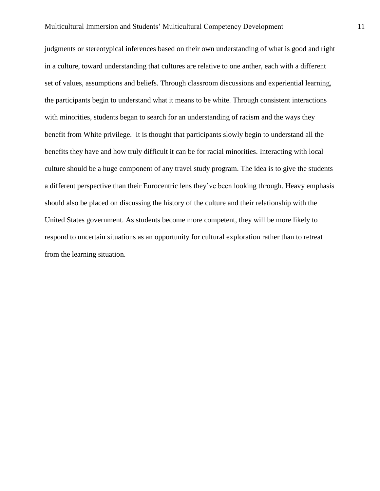judgments or stereotypical inferences based on their own understanding of what is good and right in a culture, toward understanding that cultures are relative to one anther, each with a different set of values, assumptions and beliefs. Through classroom discussions and experiential learning, the participants begin to understand what it means to be white. Through consistent interactions with minorities, students began to search for an understanding of racism and the ways they benefit from White privilege. It is thought that participants slowly begin to understand all the benefits they have and how truly difficult it can be for racial minorities. Interacting with local culture should be a huge component of any travel study program. The idea is to give the students a different perspective than their Eurocentric lens they've been looking through. Heavy emphasis should also be placed on discussing the history of the culture and their relationship with the United States government. As students become more competent, they will be more likely to respond to uncertain situations as an opportunity for cultural exploration rather than to retreat from the learning situation.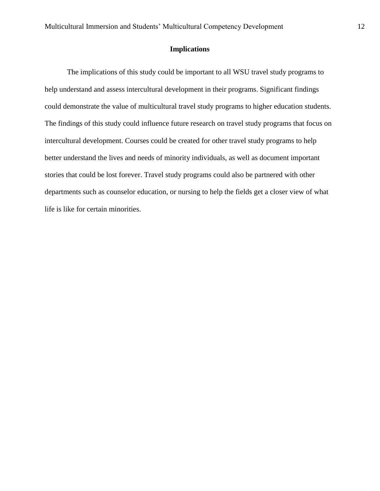## **Implications**

The implications of this study could be important to all WSU travel study programs to help understand and assess intercultural development in their programs. Significant findings could demonstrate the value of multicultural travel study programs to higher education students. The findings of this study could influence future research on travel study programs that focus on intercultural development. Courses could be created for other travel study programs to help better understand the lives and needs of minority individuals, as well as document important stories that could be lost forever. Travel study programs could also be partnered with other departments such as counselor education, or nursing to help the fields get a closer view of what life is like for certain minorities.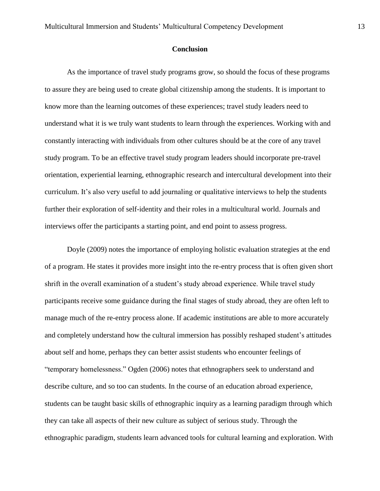#### **Conclusion**

As the importance of travel study programs grow, so should the focus of these programs to assure they are being used to create global citizenship among the students. It is important to know more than the learning outcomes of these experiences; travel study leaders need to understand what it is we truly want students to learn through the experiences. Working with and constantly interacting with individuals from other cultures should be at the core of any travel study program. To be an effective travel study program leaders should incorporate pre-travel orientation, experiential learning, ethnographic research and intercultural development into their curriculum. It's also very useful to add journaling or qualitative interviews to help the students further their exploration of self-identity and their roles in a multicultural world. Journals and interviews offer the participants a starting point, and end point to assess progress.

Doyle (2009) notes the importance of employing holistic evaluation strategies at the end of a program. He states it provides more insight into the re-entry process that is often given short shrift in the overall examination of a student's study abroad experience. While travel study participants receive some guidance during the final stages of study abroad, they are often left to manage much of the re-entry process alone. If academic institutions are able to more accurately and completely understand how the cultural immersion has possibly reshaped student's attitudes about self and home, perhaps they can better assist students who encounter feelings of "temporary homelessness." Ogden (2006) notes that ethnographers seek to understand and describe culture, and so too can students. In the course of an education abroad experience, students can be taught basic skills of ethnographic inquiry as a learning paradigm through which they can take all aspects of their new culture as subject of serious study. Through the ethnographic paradigm, students learn advanced tools for cultural learning and exploration. With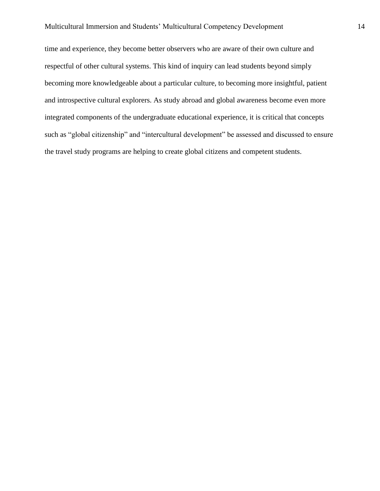time and experience, they become better observers who are aware of their own culture and respectful of other cultural systems. This kind of inquiry can lead students beyond simply becoming more knowledgeable about a particular culture, to becoming more insightful, patient and introspective cultural explorers. As study abroad and global awareness become even more integrated components of the undergraduate educational experience, it is critical that concepts such as "global citizenship" and "intercultural development" be assessed and discussed to ensure the travel study programs are helping to create global citizens and competent students.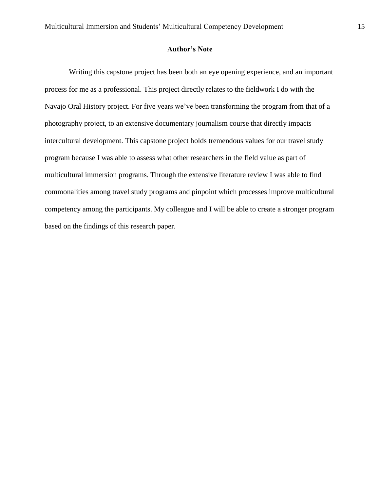#### **Author's Note**

Writing this capstone project has been both an eye opening experience, and an important process for me as a professional. This project directly relates to the fieldwork I do with the Navajo Oral History project. For five years we've been transforming the program from that of a photography project, to an extensive documentary journalism course that directly impacts intercultural development. This capstone project holds tremendous values for our travel study program because I was able to assess what other researchers in the field value as part of multicultural immersion programs. Through the extensive literature review I was able to find commonalities among travel study programs and pinpoint which processes improve multicultural competency among the participants. My colleague and I will be able to create a stronger program based on the findings of this research paper.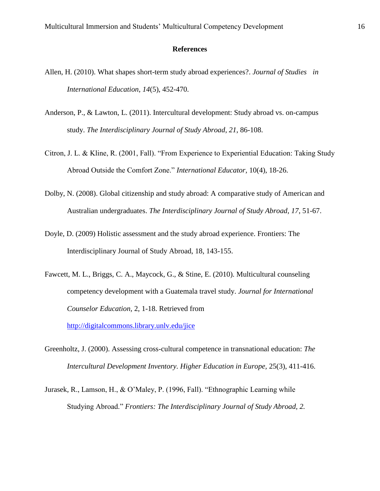#### **References**

- Allen, H. (2010). What shapes short-term study abroad experiences?. *Journal of Studies in International Education*, *14*(5), 452-470.
- Anderson, P., & Lawton, L. (2011). Intercultural development: Study abroad vs. on-campus study. *The Interdisciplinary Journal of Study Abroad*, *21*, 86-108.
- Citron, J. L. & Kline, R. (2001, Fall). "From Experience to Experiential Education: Taking Study Abroad Outside the Comfort Zone." *International Educator,* 10(4), 18-26.
- Dolby, N. (2008). Global citizenship and study abroad: A comparative study of American and Australian undergraduates. *The Interdisciplinary Journal of Study Abroad*, *17*, 51-67.
- Doyle, D. (2009) Holistic assessment and the study abroad experience. Frontiers: The Interdisciplinary Journal of Study Abroad, 18, 143-155.
- Fawcett, M. L., Briggs, C. A., Maycock, G., & Stine, E. (2010). Multicultural counseling competency development with a Guatemala travel study. *Journal for International Counselor Education,* 2, 1-18. Retrieved from

<http://digitalcommons.library.unlv.edu/jice>

- Greenholtz, J. (2000). Assessing cross-cultural competence in transnational education: *The Intercultural Development Inventory. Higher Education in Europe,* 25(3), 411-416.
- Jurasek, R., Lamson, H., & O'Maley, P. (1996, Fall). "Ethnographic Learning while Studying Abroad." *Frontiers: The Interdisciplinary Journal of Study Abroad, 2.*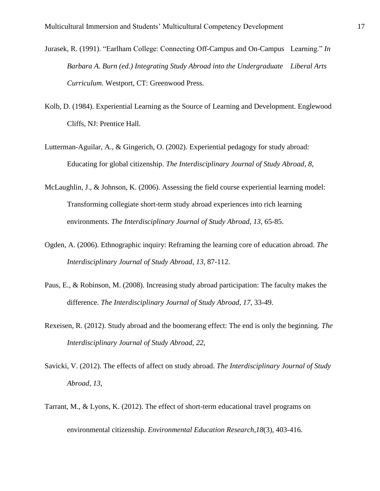- Jurasek, R. (1991). "Earlham College: Connecting Off-Campus and On-Campus Learning." *In Barbara A. Burn (ed.) Integrating Study Abroad into the Undergraduate Liberal Arts Curriculum.* Westport, CT: Greenwood Press.
- Kolb, D. (1984). Experiential Learning as the Source of Learning and Development. Englewood Cliffs, NJ: Prentice Hall.
- Lutterman-Aguilar, A., & Gingerich, O. (2002). Experiential pedagogy for study abroad: Educating for global citizenship. *The Interdisciplinary Journal of Study Abroad*, *8*,
- McLaughlin, J., & Johnson, K. (2006). Assessing the field course experiential learning model: Transforming collegiate short-term study abroad experiences into rich learning environments. *The Interdisciplinary Journal of Study Abroad*, *13*, 65-85.
- Ogden, A. (2006). Ethnographic inquiry: Reframing the learning core of education abroad. *The Interdisciplinary Journal of Study Abroad*, *13*, 87-112.
- Paus, E., & Robinson, M. (2008). Increasing study abroad participation: The faculty makes the difference. *The Interdisciplinary Journal of Study Abroad*, *17*, 33-49.
- Rexeisen, R. (2012). Study abroad and the boomerang effect: The end is only the beginning. *The Interdisciplinary Journal of Study Abroad*, *22*,
- Savicki, V. (2012). The effects of affect on study abroad. *The Interdisciplinary Journal of Study Abroad*, *13*,
- Tarrant, M., & Lyons, K. (2012). The effect of short-term educational travel programs on environmental citizenship. *Environmental Education Research*,*18*(3), 403-416.